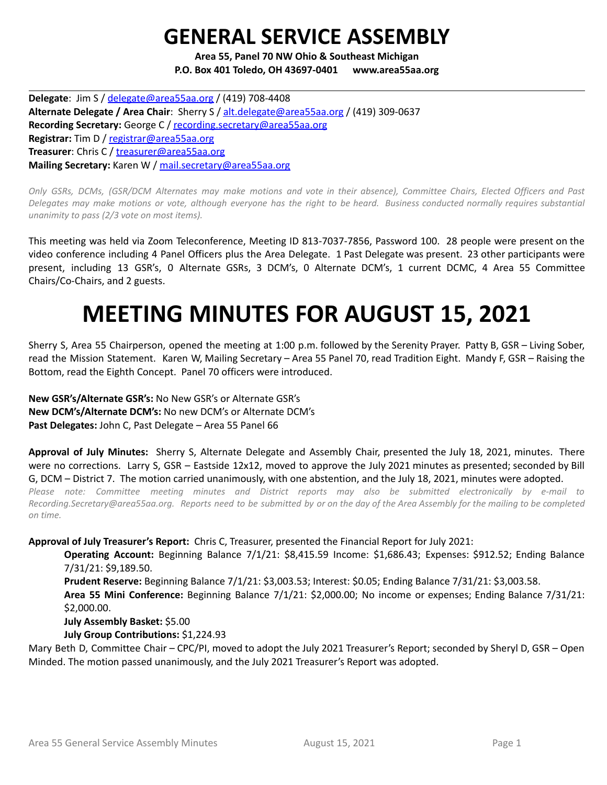## **GENERAL SERVICE ASSEMBLY**

**Area 55, Panel 70 NW Ohio & Southeast Michigan P.O. Box 401 Toledo, OH 43697-0401 www.area55aa.org**

**Delegate**: Jim S / [delegate@area55aa.org](mailto:delegate@area55aa.org) / (419) 708-4408 **Alternate Delegate / Area Chair**: Sherry S / [alt.delegate@area55aa.org](mailto:alt.delegate@area55aa.org) / (419) 309-0637 **Recording Secretary:** George C / [recording.secretary@area55aa.org](mailto:recording.secretary@area55aa.org) **Registrar:** Tim D / [registrar@area55aa.org](mailto:recording.secretary@area55aa.org) **Treasurer**: Chris C / [treasurer@area55aa.org](mailto:recording.secretary@area55aa.org) **Mailing Secretary:** Karen W / [mail.secretary@area55aa.org](mailto:recording.secretary@area55aa.org)

Only GSRs, DCMs, (GSR/DCM Alternates may make motions and vote in their absence), Committee Chairs, Elected Officers and Past Delegates may make motions or vote, although everyone has the right to be heard. Business conducted normally requires substantial *unanimity to pass (2/3 vote on most items).*

This meeting was held via Zoom Teleconference, Meeting ID 813-7037-7856, Password 100. 28 people were present on the video conference including 4 Panel Officers plus the Area Delegate. 1 Past Delegate was present. 23 other participants were present, including 13 GSR's, 0 Alternate GSRs, 3 DCM's, 0 Alternate DCM's, 1 current DCMC, 4 Area 55 Committee Chairs/Co-Chairs, and 2 guests.

# **MEETING MINUTES FOR AUGUST 15, 2021**

Sherry S, Area 55 Chairperson, opened the meeting at 1:00 p.m. followed by the Serenity Prayer. Patty B, GSR – Living Sober, read the Mission Statement. Karen W, Mailing Secretary – Area 55 Panel 70, read Tradition Eight. Mandy F, GSR – Raising the Bottom, read the Eighth Concept. Panel 70 officers were introduced.

**New GSR's/Alternate GSR's:** No New GSR's or Alternate GSR's **New DCM's/Alternate DCM's:** No new DCM's or Alternate DCM's **Past Delegates:** John C, Past Delegate – Area 55 Panel 66

**Approval of July Minutes:** Sherry S, Alternate Delegate and Assembly Chair, presented the July 18, 2021, minutes. There were no corrections. Larry S, GSR – Eastside 12x12, moved to approve the July 2021 minutes as presented; seconded by Bill G, DCM – District 7. The motion carried unanimously, with one abstention, and the July 18, 2021, minutes were adopted.

*Please note: Committee meeting minutes and District reports may also be submitted electronically by e-mail to* Recording.Secretary@area55aa.org. Reports need to be submitted by or on the day of the Area Assembly for the mailing to be completed *on time.*

**Approval of July Treasurer's Report:** Chris C, Treasurer, presented the Financial Report for July 2021:

**Operating Account:** Beginning Balance 7/1/21: \$8,415.59 Income: \$1,686.43; Expenses: \$912.52; Ending Balance 7/31/21: \$9,189.50.

**Prudent Reserve:** Beginning Balance 7/1/21: \$3,003.53; Interest: \$0.05; Ending Balance 7/31/21: \$3,003.58. **Area 55 Mini Conference:** Beginning Balance 7/1/21: \$2,000.00; No income or expenses; Ending Balance 7/31/21:

\$2,000.00.

**July Assembly Basket:** \$5.00

**July Group Contributions:** \$1,224.93

Mary Beth D, Committee Chair – CPC/PI, moved to adopt the July 2021 Treasurer's Report; seconded by Sheryl D, GSR – Open Minded. The motion passed unanimously, and the July 2021 Treasurer's Report was adopted.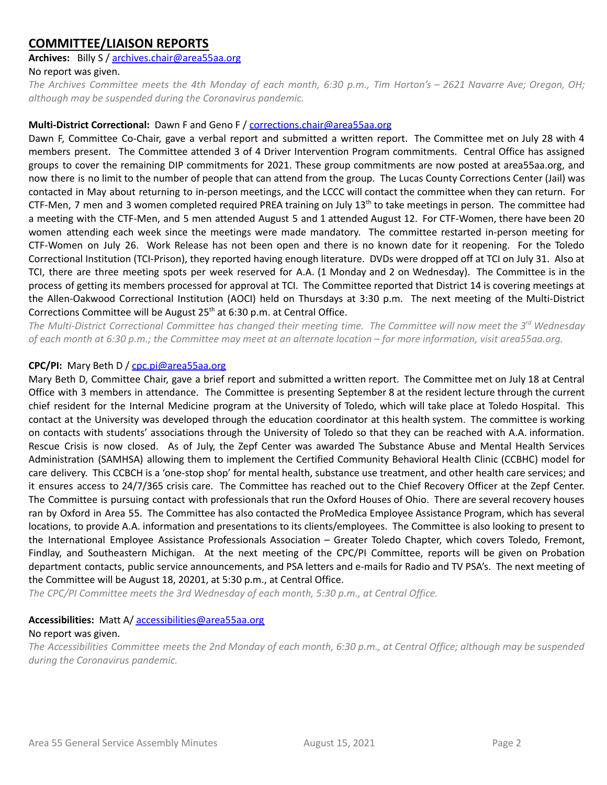## **COMMITTEE/LIAISON REPORTS**

#### **Archives:** Billy S / [archives.chair@area55aa.org](mailto:archives.chair@area55aa.org)

#### No report was given.

The Archives Committee meets the 4th Monday of each month, 6:30 p.m., Tim Horton's - 2621 Navarre Ave; Oregon, OH; *although may be suspended during the Coronavirus pandemic.*

#### **Multi-District Correctional:** Dawn F and Geno F / corrections.chair@area55aa.org

Dawn F, Committee Co-Chair, gave a verbal report and submitted a written report. The Committee met on July 28 with 4 members present. The Committee attended 3 of 4 Driver Intervention Program commitments. Central Office has assigned groups to cover the remaining DIP commitments for 2021. These group commitments are now posted at area55aa.org, and now there is no limit to the number of people that can attend from the group. The Lucas County Corrections Center (Jail) was contacted in May about returning to in-person meetings, and the LCCC will contact the committee when they can return. For CTF-Men, 7 men and 3 women completed required PREA training on July 13<sup>th</sup> to take meetings in person. The committee had a meeting with the CTF-Men, and 5 men attended August 5 and 1 attended August 12. For CTF-Women, there have been 20 women attending each week since the meetings were made mandatory. The committee restarted in-person meeting for CTF-Women on July 26. Work Release has not been open and there is no known date for it reopening. For the Toledo Correctional Institution (TCI-Prison), they reported having enough literature. DVDs were dropped off at TCI on July 31. Also at TCI, there are three meeting spots per week reserved for A.A. (1 Monday and 2 on Wednesday). The Committee is in the process of getting its members processed for approval at TCI. The Committee reported that District 14 is covering meetings at the Allen-Oakwood Correctional Institution (AOCI) held on Thursdays at 3:30 p.m. The next meeting of the Multi-District Corrections Committee will be August 25<sup>th</sup> at 6:30 p.m. at Central Office.

The Multi-District Correctional Committee has changed their meeting time. The Committee will now meet the 3<sup>rd</sup> Wednesday of each month at 6:30 p.m.; the Committee may meet at an alternate location – for more information, visit area55aa.org.

#### **CPC/PI:** Mary Beth D / [cpc.pi@area55aa.org](mailto:cpc.pi@area55aa.org)

Mary Beth D, Committee Chair, gave a brief report and submitted a written report. The Committee met on July 18 at Central Office with 3 members in attendance. The Committee is presenting September 8 at the resident lecture through the current chief resident for the Internal Medicine program at the University of Toledo, which will take place at Toledo Hospital. This contact at the University was developed through the education coordinator at this health system. The committee is working on contacts with students' associations through the University of Toledo so that they can be reached with A.A. information. Rescue Crisis is now closed. As of July, the Zepf Center was awarded The Substance Abuse and Mental Health Services Administration (SAMHSA) allowing them to implement the Certified Community Behavioral Health Clinic (CCBHC) model for care delivery. This CCBCH is a 'one-stop shop' for mental health, substance use treatment, and other health care services; and it ensures access to 24/7/365 crisis care. The Committee has reached out to the Chief Recovery Officer at the Zepf Center. The Committee is pursuing contact with professionals that run the Oxford Houses of Ohio. There are several recovery houses ran by Oxford in Area 55. The Committee has also contacted the ProMedica Employee Assistance Program, which has several locations, to provide A.A. information and presentations to its clients/employees. The Committee is also looking to present to the International Employee Assistance Professionals Association – Greater Toledo Chapter, which covers Toledo, Fremont, Findlay, and Southeastern Michigan. At the next meeting of the CPC/PI Committee, reports will be given on Probation department contacts, public service announcements, and PSA letters and e-mails for Radio and TV PSA's. The next meeting of the Committee will be August 18, 20201, at 5:30 p.m., at Central Office.

*The CPC/PI Committee meets the 3rd Wednesday of each month, 5:30 p.m., at Central Office.*

#### **Accessibilities:** Matt A/ [accessibilities@area55aa.org](mailto:accessibilities@area55aa.org)

#### No report was given.

The Accessibilities Committee meets the 2nd Monday of each month, 6:30 p.m., at Central Office; although may be suspended *during the Coronavirus pandemic.*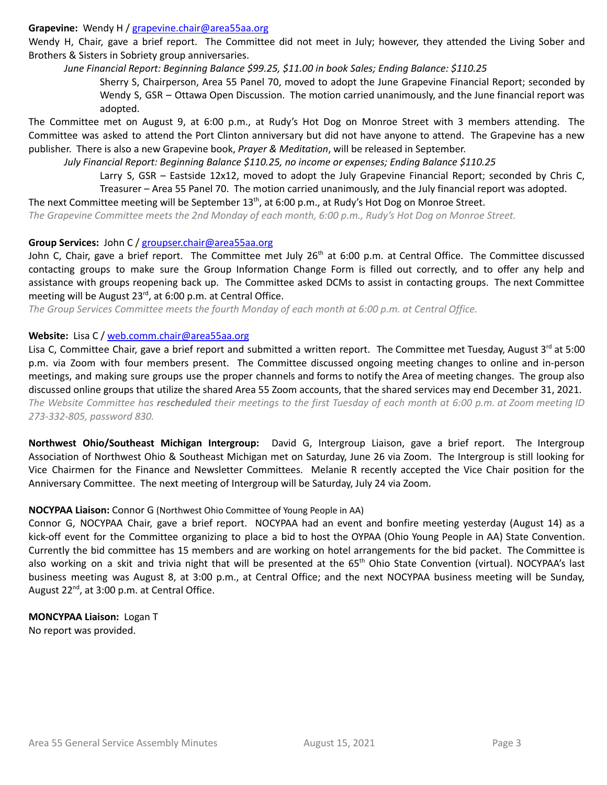#### **Grapevine:** Wendy H / [grapevine.chair@area55aa.org](mailto:grapevine.chair@area55aa.org)

Wendy H, Chair, gave a brief report. The Committee did not meet in July; however, they attended the Living Sober and Brothers & Sisters in Sobriety group anniversaries.

*June Financial Report: Beginning Balance \$99.25, \$11.00 in book Sales; Ending Balance: \$110.25*

Sherry S, Chairperson, Area 55 Panel 70, moved to adopt the June Grapevine Financial Report; seconded by Wendy S, GSR – Ottawa Open Discussion. The motion carried unanimously, and the June financial report was adopted.

The Committee met on August 9, at 6:00 p.m., at Rudy's Hot Dog on Monroe Street with 3 members attending. The Committee was asked to attend the Port Clinton anniversary but did not have anyone to attend. The Grapevine has a new publisher. There is also a new Grapevine book, *Prayer & Meditation*, will be released in September.

*July Financial Report: Beginning Balance \$110.25, no income or expenses; Ending Balance \$110.25*

Larry S, GSR – Eastside 12x12, moved to adopt the July Grapevine Financial Report; seconded by Chris C, Treasurer – Area 55 Panel 70. The motion carried unanimously, and the July financial report was adopted.

The next Committee meeting will be September  $13<sup>th</sup>$ , at 6:00 p.m., at Rudy's Hot Dog on Monroe Street.

The Grapevine Committee meets the 2nd Monday of each month, 6:00 p.m., Rudy's Hot Dog on Monroe Street.

#### **Group Services:** John C / [groupser.chair@area55aa.org](mailto:groupser.chair@area55aa.org)

John C, Chair, gave a brief report. The Committee met July 26<sup>th</sup> at 6:00 p.m. at Central Office. The Committee discussed contacting groups to make sure the Group Information Change Form is filled out correctly, and to offer any help and assistance with groups reopening back up. The Committee asked DCMs to assist in contacting groups. The next Committee meeting will be August 23<sup>rd</sup>, at 6:00 p.m. at Central Office.

*The Group Services Committee meets the fourth Monday of each month at 6:00 p.m. at Central Office.*

#### **Website:** Lisa C / [web.comm.chair@area55aa.org](mailto:web.comm.chair@area55aa.org)

Lisa C, Committee Chair, gave a brief report and submitted a written report. The Committee met Tuesday, August 3<sup>rd</sup> at 5:00 p.m. via Zoom with four members present. The Committee discussed ongoing meeting changes to online and in-person meetings, and making sure groups use the proper channels and forms to notify the Area of meeting changes. The group also discussed online groups that utilize the shared Area 55 Zoom accounts, that the shared services may end December 31, 2021. The Website Committee has rescheduled their meetings to the first Tuesday of each month at 6:00 p.m. at Zoom meeting ID *273-332-805, password 830.*

**Northwest Ohio/Southeast Michigan Intergroup:** David G, Intergroup Liaison, gave a brief report. The Intergroup Association of Northwest Ohio & Southeast Michigan met on Saturday, June 26 via Zoom. The Intergroup is still looking for Vice Chairmen for the Finance and Newsletter Committees. Melanie R recently accepted the Vice Chair position for the Anniversary Committee. The next meeting of Intergroup will be Saturday, July 24 via Zoom.

#### **NOCYPAA Liaison:** Connor G (Northwest Ohio Committee of Young People in AA)

Connor G, NOCYPAA Chair, gave a brief report. NOCYPAA had an event and bonfire meeting yesterday (August 14) as a kick-off event for the Committee organizing to place a bid to host the OYPAA (Ohio Young People in AA) State Convention. Currently the bid committee has 15 members and are working on hotel arrangements for the bid packet. The Committee is also working on a skit and trivia night that will be presented at the 65<sup>th</sup> Ohio State Convention (virtual). NOCYPAA's last business meeting was August 8, at 3:00 p.m., at Central Office; and the next NOCYPAA business meeting will be Sunday, August 22<sup>nd</sup>, at 3:00 p.m. at Central Office.

**MONCYPAA Liaison:** Logan T No report was provided.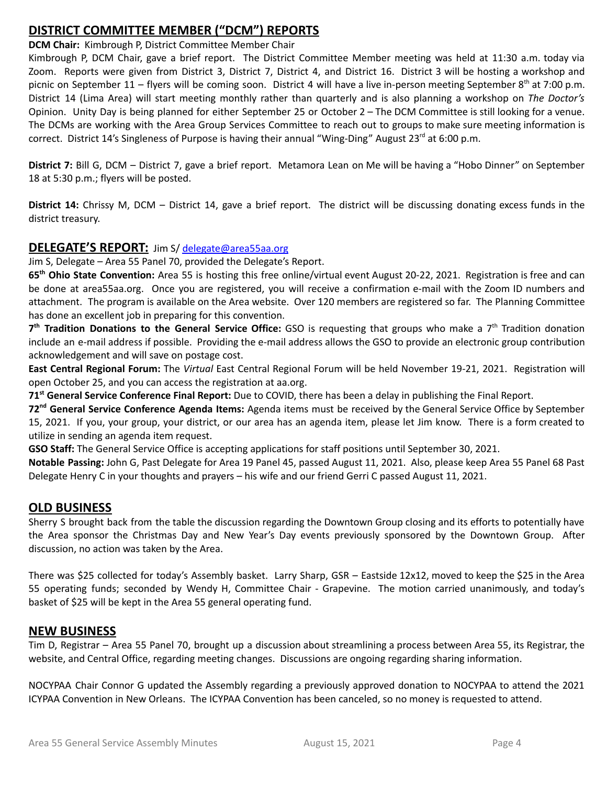## **DISTRICT COMMITTEE MEMBER ("DCM") REPORTS**

**DCM Chair:** Kimbrough P, District Committee Member Chair

Kimbrough P, DCM Chair, gave a brief report. The District Committee Member meeting was held at 11:30 a.m. today via Zoom. Reports were given from District 3, District 7, District 4, and District 16. District 3 will be hosting a workshop and picnic on September 11 – flyers will be coming soon. District 4 will have a live in-person meeting September 8<sup>th</sup> at 7:00 p.m. District 14 (Lima Area) will start meeting monthly rather than quarterly and is also planning a workshop on *The Doctor's* Opinion. Unity Day is being planned for either September 25 or October 2 – The DCM Committee is still looking for a venue. The DCMs are working with the Area Group Services Committee to reach out to groups to make sure meeting information is correct. District 14's Singleness of Purpose is having their annual "Wing-Ding" August 23<sup>rd</sup> at 6:00 p.m.

**District 7:** Bill G, DCM – District 7, gave a brief report. Metamora Lean on Me will be having a "Hobo Dinner" on September 18 at 5:30 p.m.; flyers will be posted.

**District 14:** Chrissy M, DCM – District 14, gave a brief report. The district will be discussing donating excess funds in the district treasury.

### **DELEGATE'S REPORT:** Jim S/ [delegate@area55aa.org](mailto:delegate@area55aa.org)

Jim S, Delegate – Area 55 Panel 70, provided the Delegate's Report.

**65 th Ohio State Convention:** Area 55 is hosting this free online/virtual event August 20-22, 2021. Registration is free and can be done at area55aa.org. Once you are registered, you will receive a confirmation e-mail with the Zoom ID numbers and attachment. The program is available on the Area website. Over 120 members are registered so far. The Planning Committee has done an excellent job in preparing for this convention.

**7 th Tradition Donations to the General Service Office:** GSO is requesting that groups who make a 7 th Tradition donation include an e-mail address if possible. Providing the e-mail address allows the GSO to provide an electronic group contribution acknowledgement and will save on postage cost.

**East Central Regional Forum:** The *Virtual* East Central Regional Forum will be held November 19-21, 2021. Registration will open October 25, and you can access the registration at aa.org.

**71 st General Service Conference Final Report:** Due to COVID, there has been a delay in publishing the Final Report.

**72 nd General Service Conference Agenda Items:** Agenda items must be received by the General Service Office by September 15, 2021. If you, your group, your district, or our area has an agenda item, please let Jim know. There is a form created to utilize in sending an agenda item request.

**GSO Staff:** The General Service Office is accepting applications for staff positions until September 30, 2021.

**Notable Passing:** John G, Past Delegate for Area 19 Panel 45, passed August 11, 2021. Also, please keep Area 55 Panel 68 Past Delegate Henry C in your thoughts and prayers – his wife and our friend Gerri C passed August 11, 2021.

## **OLD BUSINESS**

Sherry S brought back from the table the discussion regarding the Downtown Group closing and its efforts to potentially have the Area sponsor the Christmas Day and New Year's Day events previously sponsored by the Downtown Group. After discussion, no action was taken by the Area.

There was \$25 collected for today's Assembly basket. Larry Sharp, GSR – Eastside 12x12, moved to keep the \$25 in the Area 55 operating funds; seconded by Wendy H, Committee Chair - Grapevine. The motion carried unanimously, and today's basket of \$25 will be kept in the Area 55 general operating fund.

## **NEW BUSINESS**

Tim D, Registrar – Area 55 Panel 70, brought up a discussion about streamlining a process between Area 55, its Registrar, the website, and Central Office, regarding meeting changes. Discussions are ongoing regarding sharing information.

NOCYPAA Chair Connor G updated the Assembly regarding a previously approved donation to NOCYPAA to attend the 2021 ICYPAA Convention in New Orleans. The ICYPAA Convention has been canceled, so no money is requested to attend.